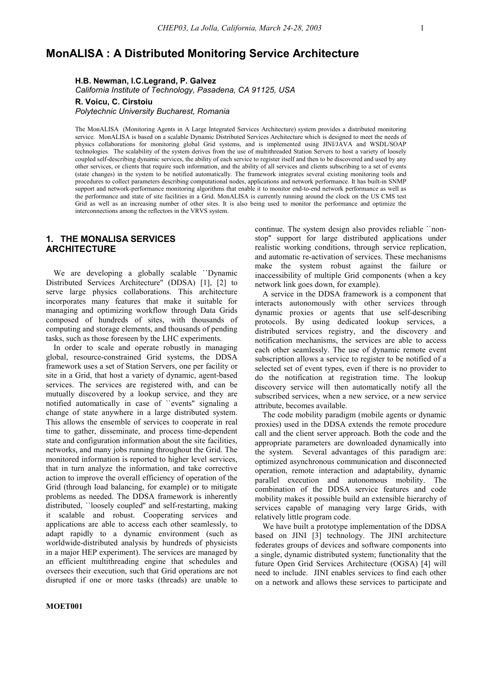# **MonALISA : A Distributed Monitoring Service Architecture**

**H.B. Newman, I.C.Legrand, P. Galvez** 

*California Institute of Technology, Pasadena, CA 91125, USA* 

**R. Voicu, C. Cirstoiu** 

*Polytechnic University Bucharest, Romania* 

The MonALISA (Monitoring Agents in A Large Integrated Services Architecture) system provides a distributed monitoring service. MonALISA is based on a scalable Dynamic Distributed Services Architecture which is designed to meet the needs of physics collaborations for monitoring global Grid systems, and is implemented using JINI/JAVA and WSDL/SOAP technologies. The scalability of the system derives from the use of multithreaded Station Servers to host a variety of loosely coupled self-describing dynamic services, the ability of each service to register itself and then to be discovered and used by any other services, or clients that require such information, and the ability of all services and clients subscribing to a set of events (state changes) in the system to be notified automatically. The framework integrates several existing monitoring tools and procedures to collect parameters describing computational nodes, applications and network performance. It has built-in SNMP support and network-performance monitoring algorithms that enable it to monitor end-to-end network performance as well as the performance and state of site facilities in a Grid. MonALISA is currently running around the clock on the US CMS test Grid as well as an increasing number of other sites. It is also being used to monitor the performance and optimize the interconnections among the reflectors in the VRVS system.

## **1. THE MONALISA SERVICES ARCHITECTURE**

We are developing a globally scalable ``Dynamic Distributed Services Architecture'' (DDSA) [1], [2] to serve large physics collaborations. This architecture incorporates many features that make it suitable for managing and optimizing workflow through Data Grids composed of hundreds of sites, with thousands of computing and storage elements, and thousands of pending tasks, such as those foreseen by the LHC experiments.

In order to scale and operate robustly in managing global, resource-constrained Grid systems, the DDSA framework uses a set of Station Servers, one per facility or site in a Grid, that host a variety of dynamic, agent-based services. The services are registered with, and can be mutually discovered by a lookup service, and they are notified automatically in case of ``events'' signaling a change of state anywhere in a large distributed system. This allows the ensemble of services to cooperate in real time to gather, disseminate, and process time-dependent state and configuration information about the site facilities, networks, and many jobs running throughout the Grid. The monitored information is reported to higher level services, that in turn analyze the information, and take corrective action to improve the overall efficiency of operation of the Grid (through load balancing, for example) or to mitigate problems as needed. The DDSA framework is inherently distributed, ``loosely coupled'' and self-restarting, making it scalable and robust. Cooperating services and applications are able to access each other seamlessly, to adapt rapidly to a dynamic environment (such as worldwide-distributed analysis by hundreds of physicists in a major HEP experiment). The services are managed by an efficient multithreading engine that schedules and oversees their execution, such that Grid operations are not disrupted if one or more tasks (threads) are unable to

continue. The system design also provides reliable ``nonstop'' support for large distributed applications under realistic working conditions, through service replication, and automatic re-activation of services. These mechanisms make the system robust against the failure or inaccessibility of multiple Grid components (when a key network link goes down, for example).

A service in the DDSA framework is a component that interacts autonomously with other services through dynamic proxies or agents that use self-describing protocols. By using dedicated lookup services, a distributed services registry, and the discovery and notification mechanisms, the services are able to access each other seamlessly. The use of dynamic remote event subscription allows a service to register to be notified of a selected set of event types, even if there is no provider to do the notification at registration time. The lookup discovery service will then automatically notify all the subscribed services, when a new service, or a new service attribute, becomes available.

The code mobility paradigm (mobile agents or dynamic proxies) used in the DDSA extends the remote procedure call and the client server approach. Both the code and the appropriate parameters are downloaded dynamically into the system. Several advantages of this paradigm are: optimized asynchronous communication and disconnected operation, remote interaction and adaptability, dynamic parallel execution and autonomous mobility. The combination of the DDSA service features and code mobility makes it possible build an extensible hierarchy of services capable of managing very large Grids, with relatively little program code.

We have built a prototype implementation of the DDSA based on JINI [3] technology. The JINI architecture federates groups of devices and software components into a single, dynamic distributed system; functionality that the future Open Grid Services Architecture (OGSA) [4] will need to include. JINI enables services to find each other on a network and allows these services to participate and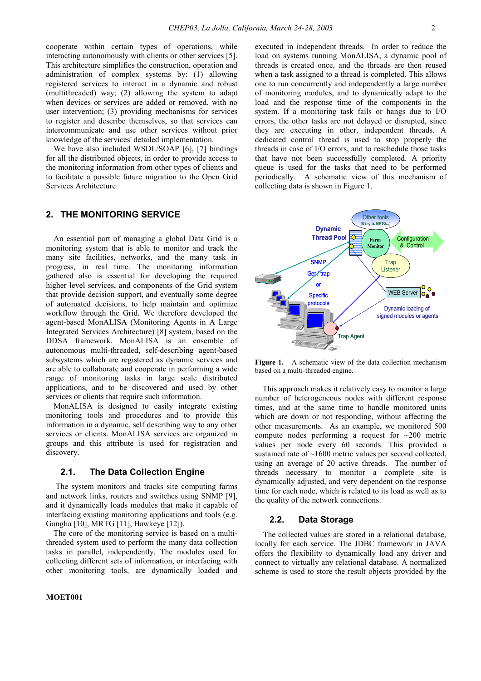cooperate within certain types of operations, while interacting autonomously with clients or other services [5]. This architecture simplifies the construction, operation and administration of complex systems by: (1) allowing registered services to interact in a dynamic and robust (multithreaded) way; (2) allowing the system to adapt when devices or services are added or removed, with no user intervention; (3) providing mechanisms for services to register and describe themselves, so that services can intercommunicate and use other services without prior knowledge of the services' detailed implementation.

We have also included WSDL/SOAP [6], [7] bindings for all the distributed objects, in order to provide access to the monitoring information from other types of clients and to facilitate a possible future migration to the Open Grid Services Architecture

### **2. THE MONITORING SERVICE**

An essential part of managing a global Data Grid is a monitoring system that is able to monitor and track the many site facilities, networks, and the many task in progress, in real time. The monitoring information gathered also is essential for developing the required higher level services, and components of the Grid system that provide decision support, and eventually some degree of automated decisions, to help maintain and optimize workflow through the Grid. We therefore developed the agent-based MonALISA (Monitoring Agents in A Large Integrated Services Architecture) [8] system, based on the DDSA framework. MonALISA is an ensemble of autonomous multi-threaded, self-describing agent-based subsystems which are registered as dynamic services and are able to collaborate and cooperate in performing a wide range of monitoring tasks in large scale distributed applications, and to be discovered and used by other services or clients that require such information.

MonALISA is designed to easily integrate existing monitoring tools and procedures and to provide this information in a dynamic, self describing way to any other services or clients. MonALISA services are organized in groups and this attribute is used for registration and discovery.

### **2.1. The Data Collection Engine**

 The system monitors and tracks site computing farms and network links, routers and switches using SNMP [9], and it dynamically loads modules that make it capable of interfacing existing monitoring applications and tools (e.g. Ganglia [10], MRTG [11], Hawkeye [12]).

The core of the monitoring service is based on a multithreaded system used to perform the many data collection tasks in parallel, independently. The modules used for collecting different sets of information, or interfacing with other monitoring tools, are dynamically loaded and executed in independent threads. In order to reduce the load on systems running MonALISA, a dynamic pool of threads is created once, and the threads are then reused when a task assigned to a thread is completed. This allows one to run concurrently and independently a large number of monitoring modules, and to dynamically adapt to the load and the response time of the components in the system. If a monitoring task fails or hangs due to I/O errors, the other tasks are not delayed or disrupted, since they are executing in other, independent threads. A dedicated control thread is used to stop properly the threads in case of I/O errors, and to reschedule those tasks that have not been successfully completed. A priority queue is used for the tasks that need to be performed periodically. A schematic view of this mechanism of collecting data is shown in Figure 1.



Figure 1. A schematic view of the data collection mechanism based on a multi-threaded engine.

This approach makes it relatively easy to monitor a large number of heterogeneous nodes with different response times, and at the same time to handle monitored units which are down or not responding, without affecting the other measurements. As an example, we monitored 500 compute nodes performing a request for  $\sim$ 200 metric values per node every 60 seconds. This provided a sustained rate of ~1600 metric values per second collected, using an average of 20 active threads. The number of threads necessary to monitor a complete site is dynamically adjusted, and very dependent on the response time for each node, which is related to its load as well as to the quality of the network connections.

#### **2.2. Data Storage**

 The collected values are stored in a relational database, locally for each service. The JDBC framework in JAVA offers the flexibility to dynamically load any driver and connect to virtually any relational database. A normalized scheme is used to store the result objects provided by the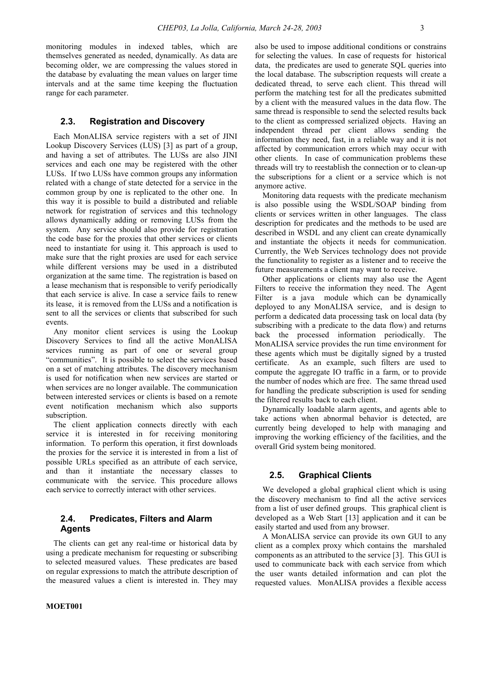monitoring modules in indexed tables, which are themselves generated as needed, dynamically. As data are becoming older, we are compressing the values stored in the database by evaluating the mean values on larger time intervals and at the same time keeping the fluctuation range for each parameter.

#### **2.3. Registration and Discovery**

Each MonALISA service registers with a set of JINI Lookup Discovery Services (LUS) [3] as part of a group, and having a set of attributes. The LUSs are also JINI services and each one may be registered with the other LUSs. If two LUSs have common groups any information related with a change of state detected for a service in the common group by one is replicated to the other one. In this way it is possible to build a distributed and reliable network for registration of services and this technology allows dynamically adding or removing LUSs from the system. Any service should also provide for registration the code base for the proxies that other services or clients need to instantiate for using it. This approach is used to make sure that the right proxies are used for each service while different versions may be used in a distributed organization at the same time. The registration is based on a lease mechanism that is responsible to verify periodically that each service is alive. In case a service fails to renew its lease, it is removed from the LUSs and a notification is sent to all the services or clients that subscribed for such events.

Any monitor client services is using the Lookup Discovery Services to find all the active MonALISA services running as part of one or several group "communities". It is possible to select the services based on a set of matching attributes. The discovery mechanism is used for notification when new services are started or when services are no longer available. The communication between interested services or clients is based on a remote event notification mechanism which also supports subscription.

The client application connects directly with each service it is interested in for receiving monitoring information. To perform this operation, it first downloads the proxies for the service it is interested in from a list of possible URLs specified as an attribute of each service, and than it instantiate the necessary classes to communicate with the service. This procedure allows each service to correctly interact with other services.

## **2.4. Predicates, Filters and Alarm Agents**

The clients can get any real-time or historical data by using a predicate mechanism for requesting or subscribing to selected measured values. These predicates are based on regular expressions to match the attribute description of the measured values a client is interested in. They may

also be used to impose additional conditions or constrains for selecting the values. In case of requests for historical data, the predicates are used to generate SQL queries into the local database. The subscription requests will create a dedicated thread, to serve each client. This thread will perform the matching test for all the predicates submitted by a client with the measured values in the data flow. The same thread is responsible to send the selected results back to the client as compressed serialized objects. Having an independent thread per client allows sending the information they need, fast, in a reliable way and it is not affected by communication errors which may occur with other clients. In case of communication problems these threads will try to reestablish the connection or to clean-up the subscriptions for a client or a service which is not anymore active.

Monitoring data requests with the predicate mechanism is also possible using the WSDL/SOAP binding from clients or services written in other languages. The class description for predicates and the methods to be used are described in WSDL and any client can create dynamically and instantiate the objects it needs for communication. Currently, the Web Services technology does not provide the functionality to register as a listener and to receive the future measurements a client may want to receive.

Other applications or clients may also use the Agent Filters to receive the information they need. The Agent Filter is a java module which can be dynamically deployed to any MonALISA service, and is design to perform a dedicated data processing task on local data (by subscribing with a predicate to the data flow) and returns back the processed information periodically. The MonALISA service provides the run time environment for these agents which must be digitally signed by a trusted certificate. As an example, such filters are used to compute the aggregate IO traffic in a farm, or to provide the number of nodes which are free. The same thread used for handling the predicate subscription is used for sending the filtered results back to each client.

Dynamically loadable alarm agents, and agents able to take actions when abnormal behavior is detected, are currently being developed to help with managing and improving the working efficiency of the facilities, and the overall Grid system being monitored.

### **2.5. Graphical Clients**

We developed a global graphical client which is using the discovery mechanism to find all the active services from a list of user defined groups. This graphical client is developed as a Web Start [13] application and it can be easily started and used from any browser.

A MonALISA service can provide its own GUI to any client as a complex proxy which contains the marshaled components as an attributed to the service [3]. This GUI is used to communicate back with each service from which the user wants detailed information and can plot the requested values. MonALISA provides a flexible access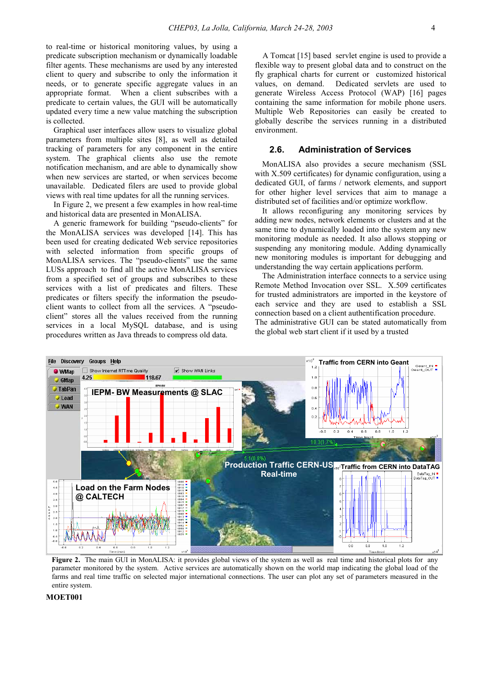to real-time or historical monitoring values, by using a predicate subscription mechanism or dynamically loadable filter agents. These mechanisms are used by any interested client to query and subscribe to only the information it needs, or to generate specific aggregate values in an appropriate format. When a client subscribes with a predicate to certain values, the GUI will be automatically updated every time a new value matching the subscription is collected.

Graphical user interfaces allow users to visualize global parameters from multiple sites [8], as well as detailed tracking of parameters for any component in the entire system. The graphical clients also use the remote notification mechanism, and are able to dynamically show when new services are started, or when services become unavailable. Dedicated filers are used to provide global views with real time updates for all the running services.

In Figure 2, we present a few examples in how real-time and historical data are presented in MonALISA.

A generic framework for building "pseudo-clients" for the MonALISA services was developed [14]. This has been used for creating dedicated Web service repositories with selected information from specific groups of MonALISA services. The "pseudo-clients" use the same LUSs approach to find all the active MonALISA services from a specified set of groups and subscribes to these services with a list of predicates and filters. These predicates or filters specify the information the pseudoclient wants to collect from all the services. A "pseudoclient" stores all the values received from the running services in a local MySQL database, and is using procedures written as Java threads to compress old data.

A Tomcat [15] based servlet engine is used to provide a flexible way to present global data and to construct on the fly graphical charts for current or customized historical values, on demand. Dedicated servlets are used to generate Wireless Access Protocol (WAP) [16] pages containing the same information for mobile phone users. Multiple Web Repositories can easily be created to globally describe the services running in a distributed environment.

#### **2.6. Administration of Services**

MonALISA also provides a secure mechanism (SSL with X.509 certificates) for dynamic configuration, using a dedicated GUI, of farms / network elements, and support for other higher level services that aim to manage a distributed set of facilities and/or optimize workflow.

It allows reconfiguring any monitoring services by adding new nodes, network elements or clusters and at the same time to dynamically loaded into the system any new monitoring module as needed. It also allows stopping or suspending any monitoring module. Adding dynamically new monitoring modules is important for debugging and understanding the way certain applications perform.

The Administration interface connects to a service using Remote Method Invocation over SSL. X.509 certificates for trusted administrators are imported in the keystore of each service and they are used to establish a SSL connection based on a client authentification procedure. The administrative GUI can be stated automatically from the global web start client if it used by a trusted



**Figure 2.** The main GUI in MonALISA: it provides global views of the system as well as real time and historical plots for any parameter monitored by the system. Active services are automatically shown on the world map indicating the global load of the farms and real time traffic on selected major international connections. The user can plot any set of parameters measured in the entire system.

### **MOET001**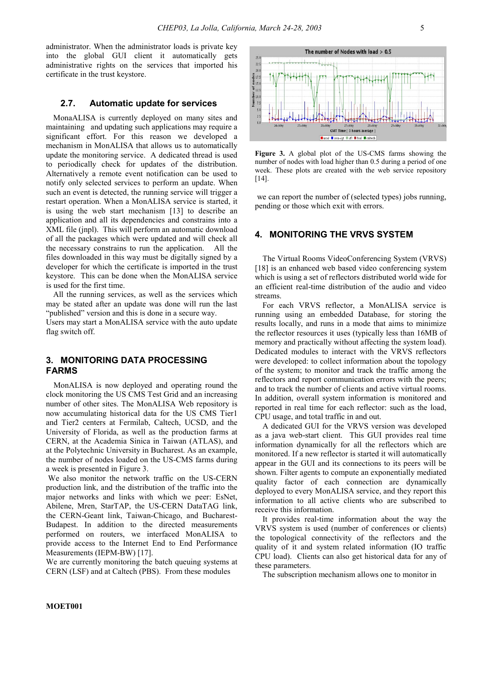administrator. When the administrator loads is private key into the global GUI client it automatically gets administrative rights on the services that imported his certificate in the trust keystore.

## **2.7. Automatic update for services**

MonaALISA is currently deployed on many sites and maintaining and updating such applications may require a significant effort. For this reason we developed a mechanism in MonALISA that allows us to automatically update the monitoring service. A dedicated thread is used to periodically check for updates of the distribution. Alternatively a remote event notification can be used to notify only selected services to perform an update. When such an event is detected, the running service will trigger a restart operation. When a MonALISA service is started, it is using the web start mechanism [13] to describe an application and all its dependencies and constrains into a XML file (jnpl). This will perform an automatic download of all the packages which were updated and will check all the necessary constrains to run the application. All the files downloaded in this way must be digitally signed by a developer for which the certificate is imported in the trust keystore. This can be done when the MonALISA service is used for the first time.

All the running services, as well as the services which may be stated after an update was done will run the last "published" version and this is done in a secure way.

Users may start a MonALISA service with the auto update flag switch off.

## **3. MONITORING DATA PROCESSING FARMS**

MonALISA is now deployed and operating round the clock monitoring the US CMS Test Grid and an increasing number of other sites. The MonALISA Web repository is now accumulating historical data for the US CMS Tier1 and Tier2 centers at Fermilab, Caltech, UCSD, and the University of Florida, as well as the production farms at CERN, at the Academia Sinica in Taiwan (ATLAS), and at the Polytechnic University in Bucharest. As an example, the number of nodes loaded on the US-CMS farms during a week is presented in Figure 3.

 We also monitor the network traffic on the US-CERN production link, and the distribution of the traffic into the major networks and links with which we peer: EsNet, Abilene, Mren, StarTAP, the US-CERN DataTAG link, the CERN-Geant link, Taiwan-Chicago, and Bucharest-Budapest. In addition to the directed measurements performed on routers, we interfaced MonALISA to provide access to the Internet End to End Performance Measurements (IEPM-BW) [17].

We are currently monitoring the batch queuing systems at CERN (LSF) and at Caltech (PBS). From these modules



**Figure 3.** A global plot of the US-CMS farms showing the number of nodes with load higher than 0.5 during a period of one week. These plots are created with the web service repository [14].

 we can report the number of (selected types) jobs running, pending or those which exit with errors.

## **4. MONITORING THE VRVS SYSTEM**

The Virtual Rooms VideoConferencing System (VRVS) [18] is an enhanced web based video conferencing system which is using a set of reflectors distributed world wide for an efficient real-time distribution of the audio and video streams.

For each VRVS reflector, a MonALISA service is running using an embedded Database, for storing the results locally, and runs in a mode that aims to minimize the reflector resources it uses (typically less than 16MB of memory and practically without affecting the system load). Dedicated modules to interact with the VRVS reflectors were developed: to collect information about the topology of the system; to monitor and track the traffic among the reflectors and report communication errors with the peers; and to track the number of clients and active virtual rooms. In addition, overall system information is monitored and reported in real time for each reflector: such as the load, CPU usage, and total traffic in and out.

A dedicated GUI for the VRVS version was developed as a java web-start client. This GUI provides real time information dynamically for all the reflectors which are monitored. If a new reflector is started it will automatically appear in the GUI and its connections to its peers will be shown. Filter agents to compute an exponentially mediated quality factor of each connection are dynamically deployed to every MonALISA service, and they report this information to all active clients who are subscribed to receive this information.

It provides real-time information about the way the VRVS system is used (number of conferences or clients) the topological connectivity of the reflectors and the quality of it and system related information (IO traffic CPU load). Clients can also get historical data for any of these parameters.

The subscription mechanism allows one to monitor in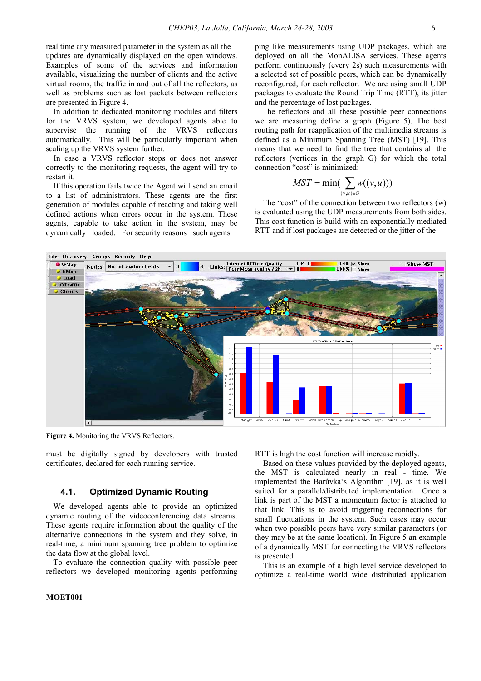real time any measured parameter in the system as all the updates are dynamically displayed on the open windows. Examples of some of the services and information available, visualizing the number of clients and the active virtual rooms, the traffic in and out of all the reflectors, as well as problems such as lost packets between reflectors are presented in Figure 4.

In addition to dedicated monitoring modules and filters for the VRVS system, we developed agents able to supervise the running of the VRVS reflectors automatically. This will be particularly important when scaling up the VRVS system further.

In case a VRVS reflector stops or does not answer correctly to the monitoring requests, the agent will try to restart it.

If this operation fails twice the Agent will send an email to a list of administrators. These agents are the first generation of modules capable of reacting and taking well defined actions when errors occur in the system. These agents, capable to take action in the system, may be dynamically loaded. For security reasons such agents

ping like measurements using UDP packages, which are deployed on all the MonALISA services. These agents perform continuously (every 2s) such measurements with a selected set of possible peers, which can be dynamically reconfigured, for each reflector. We are using small UDP packages to evaluate the Round Trip Time (RTT), its jitter and the percentage of lost packages.

The reflectors and all these possible peer connections we are measuring define a graph (Figure 5). The best routing path for reapplication of the multimedia streams is defined as a Minimum Spanning Tree (MST) [19]. This means that we need to find the tree that contains all the reflectors (vertices in the graph G) for which the total connection "cost" is minimized:

$$
MST = \min(\sum_{(v,u)\in G} w((v,u)))
$$

The "cost" of the connection between two reflectors (w) is evaluated using the UDP measurements from both sides. This cost function is build with an exponentially mediated RTT and if lost packages are detected or the jitter of the



**Figure 4.** Monitoring the VRVS Reflectors.

must be digitally signed by developers with trusted certificates, declared for each running service.

## **4.1. Optimized Dynamic Routing**

We developed agents able to provide an optimized dynamic routing of the videoconferencing data streams. These agents require information about the quality of the alternative connections in the system and they solve, in real-time, a minimum spanning tree problem to optimize the data flow at the global level.

To evaluate the connection quality with possible peer reflectors we developed monitoring agents performing RTT is high the cost function will increase rapidly.

 Based on these values provided by the deployed agents, the MST is calculated nearly in real - time. We implemented the Barůvka's Algorithm [19], as it is well suited for a parallel/distributed implementation. Once a link is part of the MST a momentum factor is attached to that link. This is to avoid triggering reconnections for small fluctuations in the system. Such cases may occur when two possible peers have very similar parameters (or they may be at the same location). In Figure 5 an example of a dynamically MST for connecting the VRVS reflectors is presented.

 This is an example of a high level service developed to optimize a real-time world wide distributed application

#### **MOET001**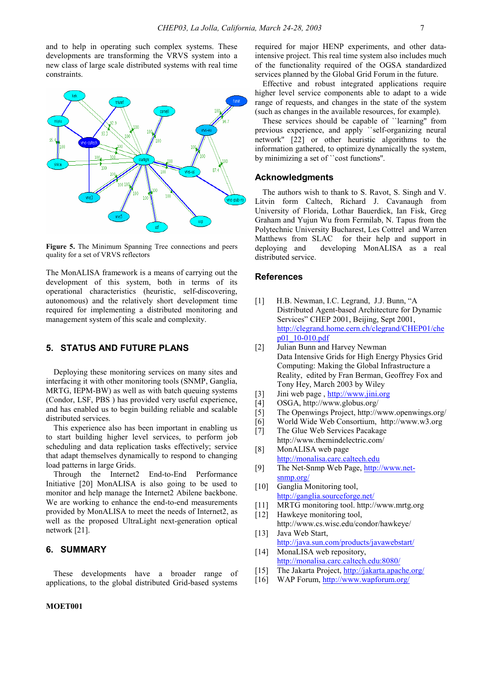and to help in operating such complex systems. These developments are transforming the VRVS system into a new class of large scale distributed systems with real time constraints.



**Figure 5.** The Minimum Spanning Tree connections and peers quality for a set of VRVS reflectors

The MonALISA framework is a means of carrying out the development of this system, both in terms of its operational characteristics (heuristic, self-discovering, autonomous) and the relatively short development time required for implementing a distributed monitoring and management system of this scale and complexity.

## **5. STATUS AND FUTURE PLANS**

Deploying these monitoring services on many sites and interfacing it with other monitoring tools (SNMP, Ganglia, MRTG, IEPM-BW) as well as with batch queuing systems (Condor, LSF, PBS ) has provided very useful experience, and has enabled us to begin building reliable and scalable distributed services.

This experience also has been important in enabling us to start building higher level services, to perform job scheduling and data replication tasks effectively; service that adapt themselves dynamically to respond to changing load patterns in large Grids.

Through the Internet2 End-to-End Performance Initiative [20] MonALISA is also going to be used to monitor and help manage the Internet2 Abilene backbone. We are working to enhance the end-to-end measurements provided by MonALISA to meet the needs of Internet2, as well as the proposed UltraLight next-generation optical network [21].

### **6. SUMMARY**

These developments have a broader range of applications, to the global distributed Grid-based systems

#### **MOET001**

required for major HENP experiments, and other dataintensive project. This real time system also includes much of the functionality required of the OGSA standardized services planned by the Global Grid Forum in the future.

Effective and robust integrated applications require higher level service components able to adapt to a wide range of requests, and changes in the state of the system (such as changes in the available resources, for example).

These services should be capable of ``learning'' from previous experience, and apply ``self-organizing neural network'' [22] or other heuristic algorithms to the information gathered, to optimize dynamically the system, by minimizing a set of ``cost functions''.

#### **Acknowledgments**

The authors wish to thank to S. Ravot, S. Singh and V. Litvin form Caltech, Richard J. Cavanaugh from University of Florida, Lothar Bauerdick, Ian Fisk, Greg Graham and Yujun Wu from Fermilab, N. Tapus from the Polytechnic University Bucharest, Les Cottrel and Warren Matthews from SLAC for their help and support in deploying and developing MonALISA as a real distributed service.

#### **References**

- [1] H.B. Newman, I.C. Legrand, J.J. Bunn, "A Distributed Agent-based Architecture for Dynamic Services" CHEP 2001, Beijing, Sept 2001, http://clegrand.home.cern.ch/clegrand/CHEP01/che p01\_10-010.pdf
- [2] Julian Bunn and Harvey Newman Data Intensive Grids for High Energy Physics Grid Computing: Making the Global Infrastructure a Reality, edited by Fran Berman, Geoffrey Fox and Tony Hey, March 2003 by Wiley
- [3] Jini web page, http://www.jini.org
- [4] OSGA, http://www.globus.org/
- [5] The Openwings Project, http://www.openwings.org/
- [6] World Wide Web Consortium, http://www.w3.org
- [7] The Glue Web Services Pacakage http://www.themindelectric.com/
- [8] MonALISA web page http://monalisa.carc.caltech.edu
- [9] The Net-Snmp Web Page, http://www.netsnmp.org/
- [10] Ganglia Monitoring tool, http://ganglia.sourceforge.net/
- [11] MRTG monitoring tool. http://www.mrtg.org
- [12] Hawkeye monitoring tool, http://www.cs.wisc.edu/condor/hawkeye/
- [13] Java Web Start, http://java.sun.com/products/javawebstart/ [14] MonaLISA web repository,
- http://monalisa.carc.caltech.edu:8080/
- [15] The Jakarta Project, http://jakarta.apache.org/
- [16] WAP Forum, http://www.wapforum.org/